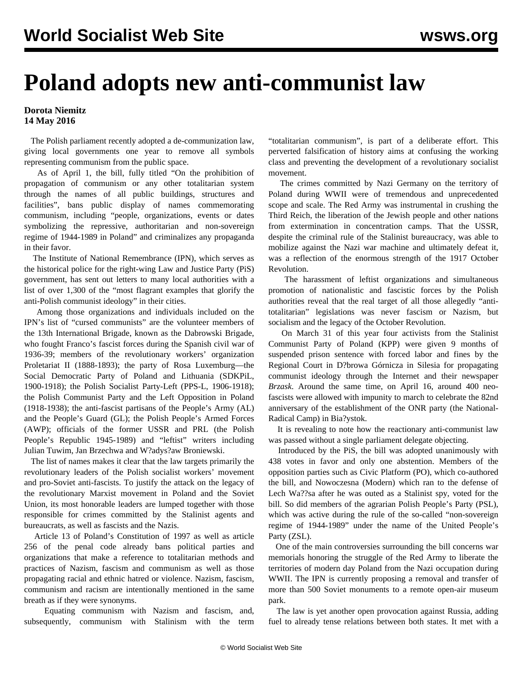## **Poland adopts new anti-communist law**

## **Dorota Niemitz 14 May 2016**

 The Polish parliament recently adopted a de-communization law, giving local governments one year to remove all symbols representing communism from the public space.

 As of April 1, the bill, fully titled "On the prohibition of propagation of communism or any other totalitarian system through the names of all public buildings, structures and facilities", bans public display of names commemorating communism, including "people, organizations, events or dates symbolizing the repressive, authoritarian and non-sovereign regime of 1944-1989 in Poland" and criminalizes any propaganda in their favor.

 The Institute of National Remembrance (IPN), which serves as the historical police for the right-wing Law and Justice Party (PiS) government, has sent out letters to many local authorities with a list of over 1,300 of the "most flagrant examples that glorify the anti-Polish communist ideology" in their cities.

 Among those organizations and individuals included on the IPN's list of "cursed communists" are the volunteer members of the 13th International Brigade, known as the Dabrowski Brigade, who fought Franco's fascist forces during the Spanish civil war of 1936-39; members of the revolutionary workers' organization Proletariat II (1888-1893); the party of Rosa Luxemburg—the Social Democratic Party of Poland and Lithuania (SDKPiL, 1900-1918); the Polish Socialist Party-Left (PPS-L, 1906-1918); the Polish Communist Party and the Left Opposition in Poland (1918-1938); the anti-fascist partisans of the People's Army (AL) and the People's Guard (GL); the Polish People's Armed Forces (AWP); officials of the former USSR and PRL (the Polish People's Republic 1945-1989) and "leftist" writers including Julian Tuwim, Jan Brzechwa and W?adys?aw Broniewski.

 The list of names makes it clear that the law targets primarily the revolutionary leaders of the Polish socialist workers' movement and pro-Soviet anti-fascists. To justify the attack on the legacy of the revolutionary Marxist movement in Poland and the Soviet Union, its most honorable leaders are lumped together with those responsible for crimes committed by the Stalinist agents and bureaucrats, as well as fascists and the Nazis.

 Article 13 of Poland's Constitution of 1997 as well as article 256 of the penal code already bans political parties and organizations that make a reference to totalitarian methods and practices of Nazism, fascism and communism as well as those propagating racial and ethnic hatred or violence. Nazism, fascism, communism and racism are intentionally mentioned in the same breath as if they were synonyms.

 Equating communism with Nazism and fascism, and, subsequently, communism with Stalinism with the term "totalitarian communism", is part of a deliberate effort. This perverted falsification of history aims at confusing the working class and preventing the development of a revolutionary socialist movement.

 The crimes committed by Nazi Germany on the territory of Poland during WWII were of tremendous and unprecedented scope and scale. The Red Army was instrumental in crushing the Third Reich, the liberation of the Jewish people and other nations from extermination in concentration camps. That the USSR, despite the criminal rule of the Stalinist bureaucracy, was able to mobilize against the Nazi war machine and ultimately defeat it, was a reflection of the enormous strength of the 1917 October Revolution.

 The harassment of leftist organizations and simultaneous promotion of nationalistic and fascistic forces by the Polish authorities reveal that the real target of all those allegedly "antitotalitarian" legislations was never fascism or Nazism, but socialism and the legacy of the October Revolution.

 On March 31 of this year four activists from the Stalinist Communist Party of Poland (KPP) were given 9 months of suspended prison sentence with forced labor and fines by the Regional Court in D?browa Górnicza in Silesia for propagating communist ideology through the Internet and their newspaper *Brzask*. Around the same time, on April 16, around 400 neofascists were allowed with impunity to march to celebrate the 82nd anniversary of the establishment of the ONR party (the National-Radical Camp) in Bia?ystok.

 It is revealing to note how the reactionary anti-communist law was passed without a single parliament delegate objecting.

 Introduced by the PiS, the bill was adopted unanimously with 438 votes in favor and only one abstention. Members of the opposition parties such as Civic Platform (PO), which co-authored the bill, and Nowoczesna (Modern) which ran to the defense of Lech Wa??sa after he was outed as a Stalinist spy, voted for the bill. So did members of the agrarian Polish People's Party (PSL), which was active during the rule of the so-called "non-sovereign regime of 1944-1989" under the name of the United People's Party (ZSL).

 One of the main controversies surrounding the bill concerns war memorials honoring the struggle of the Red Army to liberate the territories of modern day Poland from the Nazi occupation during WWII. The IPN is currently proposing a removal and transfer of more than 500 Soviet monuments to a remote open-air museum park.

 The law is yet another open provocation against Russia, adding fuel to already tense relations between both states. It met with a